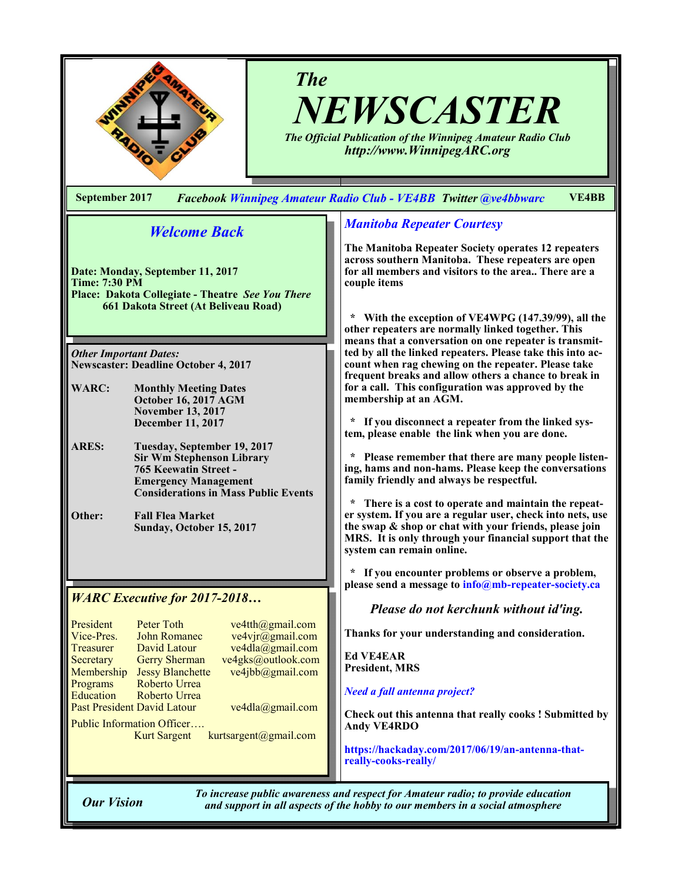

# *The NEWSCASTER*

*The Official Publication of the Winnipeg Amateur Radio Club http://www.WinnipegARC.org*

**September 2017** *Facebook Winnipeg Amateur Radio Club - VE4BB Twitter @ve4bbwarc* **VE4BB**

# *Welcome Back*

**Date: Monday, September 11, 2017 Time: 7:30 PM Place: Dakota Collegiate - Theatre** *See You There* **661 Dakota Street (At Beliveau Road)**

*Other Important Dates:* **Newscaster: Deadline October 4, 2017**

- **WARC: Monthly Meeting Dates October 16, 2017 AGM November 13, 2017 December 11, 2017**
- **ARES: Tuesday, September 19, 2017 Sir Wm Stephenson Library 765 Keewatin Street - Emergency Management Considerations in Mass Public Events**

**Other: Fall Flea Market Sunday, October 15, 2017**

## *WARC Executive for 2017-2018…*

| President                   | Peter Toth              | ve4tth@gmail.com      |  |
|-----------------------------|-------------------------|-----------------------|--|
| Vice-Pres.                  | <b>John Romanec</b>     | ve4vjr@gmail.com      |  |
| <b>Treasurer</b>            | David Latour            | ve4dla@gmail.com      |  |
| Secretary                   | <b>Gerry Sherman</b>    | ve4gks@outlook.com    |  |
| Membership                  | <b>Jessy Blanchette</b> | ve4jbb@gmail.com      |  |
| Programs                    | Roberto Urrea           |                       |  |
| Education                   | Roberto Urrea           |                       |  |
| Past President David Latour |                         | ve4dla@gmail.com      |  |
| Public Information Officer  |                         |                       |  |
|                             | <b>Kurt Sargent</b>     | kurtsargent@gmail.com |  |

## *Manitoba Repeater Courtesy*

**The Manitoba Repeater Society operates 12 repeaters across southern Manitoba. These repeaters are open for all members and visitors to the area.. There are a couple items**

 **\* With the exception of VE4WPG (147.39/99), all the other repeaters are normally linked together. This means that a conversation on one repeater is transmitted by all the linked repeaters. Please take this into account when rag chewing on the repeater. Please take frequent breaks and allow others a chance to break in for a call. This configuration was approved by the membership at an AGM.**

 **\* If you disconnect a repeater from the linked system, please enable the link when you are done.**

Please remember that there are many people listen**ing, hams and non-hams. Please keep the conversations family friendly and always be respectful.**

There is a cost to operate and maintain the repeat**er system. If you are a regular user, check into nets, use the swap & shop or chat with your friends, please join MRS. It is only through your financial support that the system can remain online.**

If you encounter problems or observe a problem, **please send a message to info@mb-repeater-society.ca**

*Please do not kerchunk without id'ing.*

**Thanks for your understanding and consideration.**

**Ed VE4EAR President, MRS**

*Need a fall antenna project?* 

**Check out this antenna that really cooks ! Submitted by Andy VE4RDO**

**https://hackaday.com/2017/06/19/an-antenna-thatreally-cooks-really/**

*To increase public awareness and respect for Amateur radio; to provide education Our Vision and support in all aspects of the hobby to our members in a social atmosphere*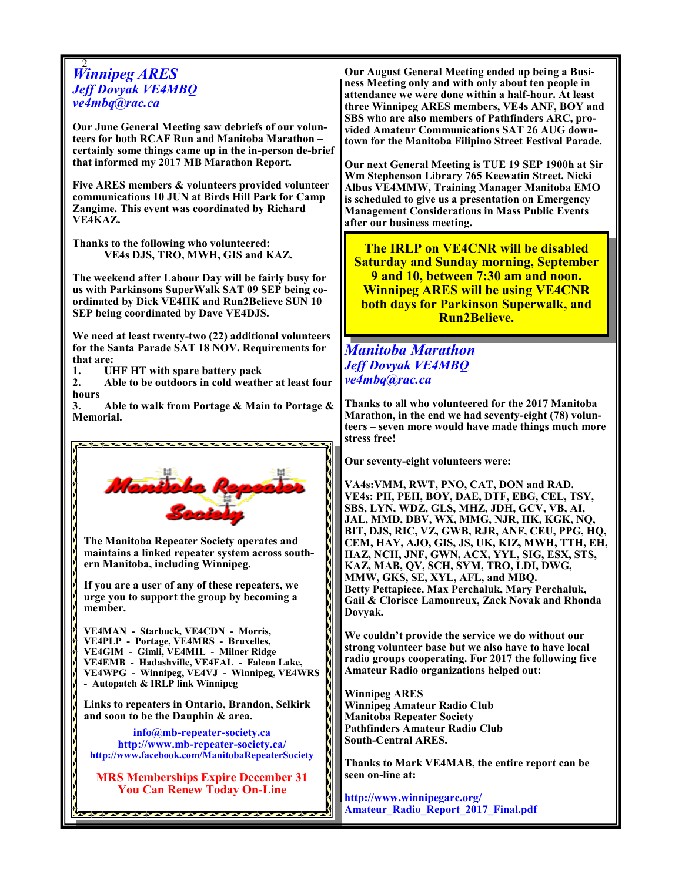# 2 *Winnipeg ARES Jeff Dovyak VE4MBQ ve4mbq@rac.ca*

**Our June General Meeting saw debriefs of our volunteers for both RCAF Run and Manitoba Marathon – certainly some things came up in the in-person de-brief that informed my 2017 MB Marathon Report.**

**Five ARES members & volunteers provided volunteer communications 10 JUN at Birds Hill Park for Camp Zangime. This event was coordinated by Richard VE4KAZ.** 

**Thanks to the following who volunteered: VE4s DJS, TRO, MWH, GIS and KAZ.**

**The weekend after Labour Day will be fairly busy for us with Parkinsons SuperWalk SAT 09 SEP being coordinated by Dick VE4HK and Run2Believe SUN 10 SEP being coordinated by Dave VE4DJS.** 

**We need at least twenty-two (22) additional volunteers for the Santa Parade SAT 18 NOV. Requirements for that are:**

**1. UHF HT with spare battery pack**

**2. Able to be outdoors in cold weather at least four hours**

**3. Able to walk from Portage & Main to Portage & Memorial.**



**Our August General Meeting ended up being a Business Meeting only and with only about ten people in attendance we were done within a half-hour. At least three Winnipeg ARES members, VE4s ANF, BOY and SBS who are also members of Pathfinders ARC, provided Amateur Communications SAT 26 AUG downtown for the Manitoba Filipino Street Festival Parade.**

**Our next General Meeting is TUE 19 SEP 1900h at Sir Wm Stephenson Library 765 Keewatin Street. Nicki Albus VE4MMW, Training Manager Manitoba EMO is scheduled to give us a presentation on Emergency Management Considerations in Mass Public Events after our business meeting.**

**The IRLP on VE4CNR will be disabled Saturday and Sunday morning, September 9 and 10, between 7:30 am and noon. Winnipeg ARES will be using VE4CNR both days for Parkinson Superwalk, and Run2Believe.**

# *Manitoba Marathon Jeff Dovyak VE4MBQ ve4mbq@rac.ca*

**Thanks to all who volunteered for the 2017 Manitoba Marathon, in the end we had seventy-eight (78) volunteers – seven more would have made things much more stress free!**

**Our seventy-eight volunteers were:**

**VA4s:VMM, RWT, PNO, CAT, DON and RAD. VE4s: PH, PEH, BOY, DAE, DTF, EBG, CEL, TSY, SBS, LYN, WDZ, GLS, MHZ, JDH, GCV, VB, AI, JAL, MMD, DBV, WX, MMG, NJR, HK, KGK, NQ, BIT, DJS, RIC, VZ, GWB, RJR, ANF, CEU, PPG, HQ, CEM, HAY, AJO, GIS, JS, UK, KIZ, MWH, TTH, EH, HAZ, NCH, JNF, GWN, ACX, YYL, SIG, ESX, STS, KAZ, MAB, QV, SCH, SYM, TRO, LDI, DWG, MMW, GKS, SE, XYL, AFL, and MBQ. Betty Pettapiece, Max Perchaluk, Mary Perchaluk, Gail & Clorisce Lamoureux, Zack Novak and Rhonda Dovyak.**

**We couldn't provide the service we do without our strong volunteer base but we also have to have local radio groups cooperating. For 2017 the following five Amateur Radio organizations helped out:**

**Winnipeg ARES Winnipeg Amateur Radio Club Manitoba Repeater Society Pathfinders Amateur Radio Club South-Central ARES.**

**Thanks to Mark VE4MAB, the entire report can be seen on-line at:** 

**http://www.winnipegarc.org/ Amateur\_Radio\_Report\_2017\_Final.pdf**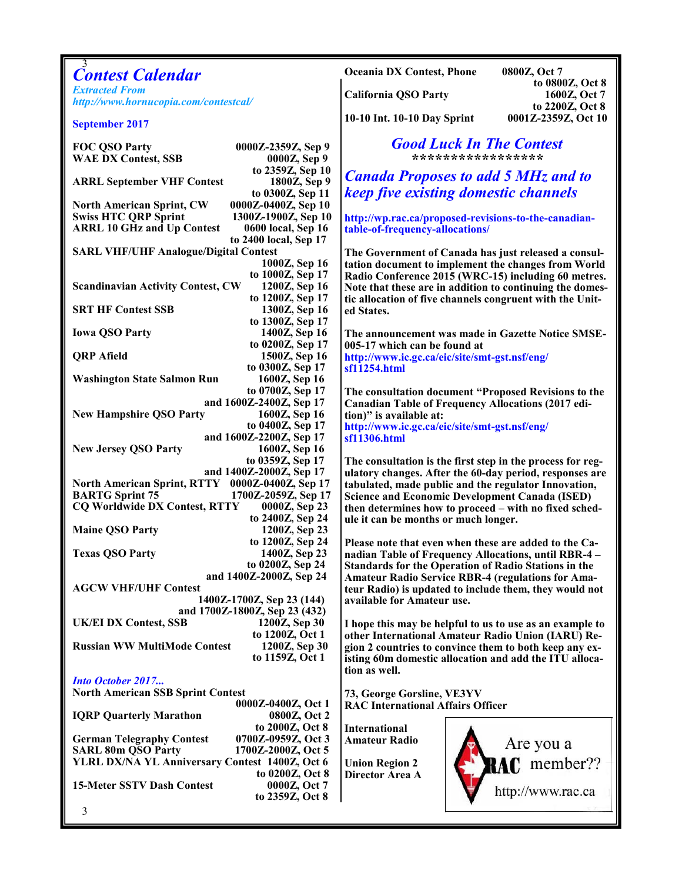|                                                                                                               | <b>Oceania DX Contest, Phone</b><br>0800Z, Oct 7                                                                     |
|---------------------------------------------------------------------------------------------------------------|----------------------------------------------------------------------------------------------------------------------|
| <b>Contest Calendar</b>                                                                                       | to 0800Z, Oct 8                                                                                                      |
| <b>Extracted From</b><br>http://www.hornucopia.com/contestcal/                                                | <b>California QSO Party</b><br>1600Z, Oct 7                                                                          |
|                                                                                                               | to 2200Z, Oct 8                                                                                                      |
| <b>September 2017</b>                                                                                         | 10-10 Int. 10-10 Day Sprint<br>0001Z-2359Z, Oct 10                                                                   |
| <b>FOC QSO Party</b><br>0000Z-2359Z, Sep 9                                                                    | <b>Good Luck In The Contest</b>                                                                                      |
| <b>WAE DX Contest, SSB</b><br>0000Z, Sep 9                                                                    | ******************                                                                                                   |
| to 2359Z, Sep 10                                                                                              |                                                                                                                      |
| <b>ARRL September VHF Contest</b><br>1800Z, Sep 9                                                             | <b>Canada Proposes to add 5 MHz and to</b>                                                                           |
| to 0300Z, Sep 11                                                                                              | keep five existing domestic channels                                                                                 |
| 0000Z-0400Z, Sep 10<br><b>North American Sprint, CW</b>                                                       |                                                                                                                      |
| <b>Swiss HTC QRP Sprint</b><br>1300Z-1900Z, Sep 10<br><b>ARRL 10 GHz and Up Contest</b><br>0600 local, Sep 16 | http://wp.rac.ca/proposed-revisions-to-the-canadian-<br>table-of-frequency-allocations/                              |
| to 2400 local, Sep 17                                                                                         |                                                                                                                      |
| <b>SARL VHF/UHF Analogue/Digital Contest</b>                                                                  | The Government of Canada has just released a consul-                                                                 |
| 1000Z, Sep 16                                                                                                 | tation document to implement the changes from World                                                                  |
| to 1000Z, Sep 17<br>1200Z, Sep 16<br><b>Scandinavian Activity Contest, CW</b>                                 | Radio Conference 2015 (WRC-15) including 60 metres.                                                                  |
| to 1200Z, Sep 17                                                                                              | Note that these are in addition to continuing the domes-<br>tic allocation of five channels congruent with the Unit- |
| <b>SRT HF Contest SSB</b><br>1300Z, Sep 16                                                                    | ed States.                                                                                                           |
| to 1300Z, Sep 17                                                                                              |                                                                                                                      |
| 1400Z, Sep 16<br><b>Iowa QSO Party</b>                                                                        | The announcement was made in Gazette Notice SMSE-                                                                    |
| to 0200Z, Sep 17<br><b>QRP</b> Afield<br>1500Z, Sep 16                                                        | 005-17 which can be found at<br>http://www.ic.gc.ca/eic/site/smt-gst.nsf/eng/                                        |
| to 0300Z, Sep 17                                                                                              | sf11254.html                                                                                                         |
| <b>Washington State Salmon Run</b><br>1600Z, Sep 16                                                           |                                                                                                                      |
| to 0700Z, Sep 17                                                                                              | The consultation document "Proposed Revisions to the                                                                 |
| and 1600Z-2400Z, Sep 17                                                                                       | <b>Canadian Table of Frequency Allocations (2017 edi-</b>                                                            |
| <b>New Hampshire QSO Party</b><br>1600Z, Sep 16<br>to 0400Z, Sep 17                                           | tion)" is available at:                                                                                              |
| and 1600Z-2200Z, Sep 17                                                                                       | http://www.ic.gc.ca/eic/site/smt-gst.nsf/eng/<br>sf11306.html                                                        |
| <b>New Jersey QSO Party</b><br>1600Z, Sep 16                                                                  |                                                                                                                      |
| to 0359Z, Sep 17                                                                                              | The consultation is the first step in the process for reg-                                                           |
| and 1400Z-2000Z, Sep 17<br>North American Sprint, RTTY 0000Z-0400Z, Sep 17                                    | ulatory changes. After the 60-day period, responses are                                                              |
| <b>BARTG Sprint 75</b><br>1700Z-2059Z, Sep 17                                                                 | tabulated, made public and the regulator Innovation,<br><b>Science and Economic Development Canada (ISED)</b>        |
| <b>CQ Worldwide DX Contest, RTTY</b><br>0000Z, Sep 23                                                         | then determines how to proceed – with no fixed sched-                                                                |
| to 2400Z, Sep 24                                                                                              | ule it can be months or much longer.                                                                                 |
| <b>Maine QSO Party</b><br>1200Z, Sep 23                                                                       |                                                                                                                      |
| to 1200Z, Sep 24<br>1400Z, Sep 23<br><b>Texas QSO Party</b>                                                   | Please note that even when these are added to the Ca-                                                                |
| to 0200Z, Sep 24                                                                                              | nadian Table of Frequency Allocations, until RBR-4 -<br><b>Standards for the Operation of Radio Stations in the</b>  |
| and 1400Z-2000Z, Sep 24                                                                                       | <b>Amateur Radio Service RBR-4 (regulations for Ama-</b>                                                             |
| <b>AGCW VHF/UHF Contest</b>                                                                                   | teur Radio) is updated to include them, they would not                                                               |
| 1400Z-1700Z, Sep 23 (144)<br>and 1700Z-1800Z, Sep 23 (432)                                                    | available for Amateur use.                                                                                           |
| <b>UK/EI DX Contest, SSB</b><br>1200Z, Sep 30                                                                 | I hope this may be helpful to us to use as an example to                                                             |
| to 1200Z, Oct 1                                                                                               | other International Amateur Radio Union (IARU) Re-                                                                   |
| <b>Russian WW MultiMode Contest</b><br>1200Z, Sep 30                                                          | gion 2 countries to convince them to both keep any ex-                                                               |
| to 1159Z, Oct 1                                                                                               | isting 60m domestic allocation and add the ITU alloca-                                                               |
| <b>Into October 2017</b>                                                                                      | tion as well.                                                                                                        |
| <b>North American SSB Sprint Contest</b>                                                                      | 73, George Gorsline, VE3YV                                                                                           |
| 0000Z-0400Z, Oct 1                                                                                            | <b>RAC International Affairs Officer</b>                                                                             |
| 0800Z, Oct 2<br><b>IQRP Quarterly Marathon</b>                                                                |                                                                                                                      |
| to 2000Z, Oct 8                                                                                               | <b>International</b>                                                                                                 |
| 0700Z-0959Z, Oct 3<br><b>German Telegraphy Contest</b><br><b>SARL 80m QSO Party</b><br>1700Z-2000Z, Oct 5     | <b>Amateur Radio</b><br>Are you a                                                                                    |
| YLRL DX/NA YL Anniversary Contest 1400Z, Oct 6                                                                | RAC member??<br><b>Union Region 2</b>                                                                                |
| to 0200Z, Oct 8                                                                                               | Director Area A                                                                                                      |
| <b>15-Meter SSTV Dash Contest</b><br>0000Z, Oct 7                                                             | http://www.rac.ca                                                                                                    |
| to 2359Z, Oct 8                                                                                               |                                                                                                                      |
| 3                                                                                                             |                                                                                                                      |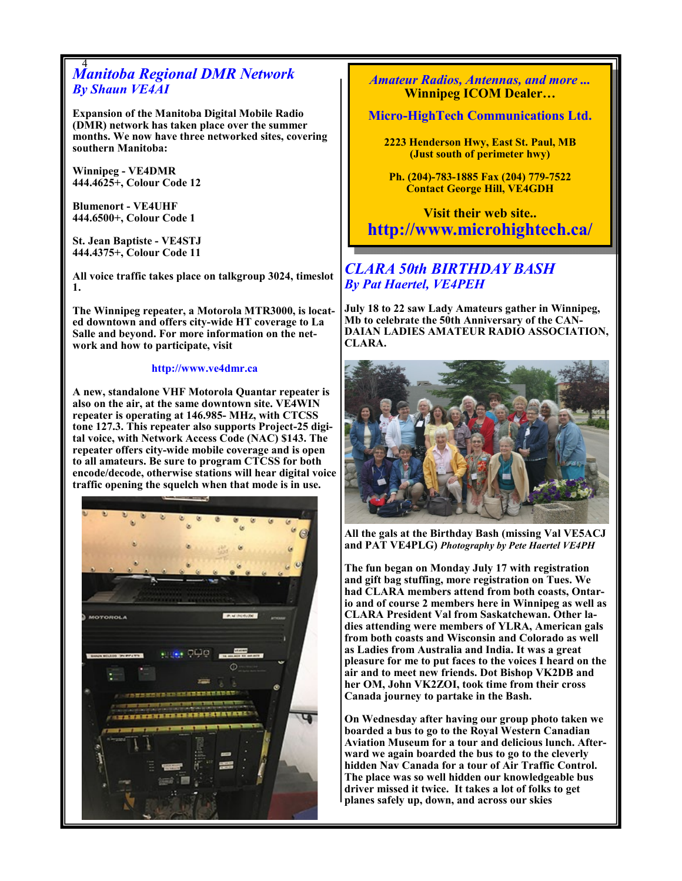# 4 *Manitoba Regional DMR Network By Shaun VE4AI*

**Expansion of the Manitoba Digital Mobile Radio (DMR) network has taken place over the summer months. We now have three networked sites, covering southern Manitoba:**

**Winnipeg - VE4DMR 444.4625+, Colour Code 12**

**Blumenort - VE4UHF 444.6500+, Colour Code 1**

**St. Jean Baptiste - VE4STJ 444.4375+, Colour Code 11**

**All voice traffic takes place on talkgroup 3024, timeslot 1.**

**The Winnipeg repeater, a Motorola MTR3000, is located downtown and offers city-wide HT coverage to La Salle and beyond. For more information on the network and how to participate, visit** 

#### **http://www.ve4dmr.ca**

**A new, standalone VHF Motorola Quantar repeater is also on the air, at the same downtown site. VE4WIN repeater is operating at 146.985- MHz, with CTCSS tone 127.3. This repeater also supports Project-25 digital voice, with Network Access Code (NAC) \$143. The repeater offers city-wide mobile coverage and is open to all amateurs. Be sure to program CTCSS for both encode/decode, otherwise stations will hear digital voice traffic opening the squelch when that mode is in use.**



*Amateur Radios, Antennas, and more ...*  **Winnipeg ICOM Dealer…**

#### **Micro-HighTech Communications Ltd.**

**2223 Henderson Hwy, East St. Paul, MB (Just south of perimeter hwy)**

**Ph. (204)-783-1885 Fax (204) 779-7522 Contact George Hill, VE4GDH**

**Visit their web site.. http://www.microhightech.ca/**

# *CLARA 50th BIRTHDAY BASH By Pat Haertel, VE4PEH*

**July 18 to 22 saw Lady Amateurs gather in Winnipeg, Mb to celebrate the 50th Anniversary of the CAN-DAIAN LADIES AMATEUR RADIO ASSOCIATION, CLARA.** 



**All the gals at the Birthday Bash (missing Val VE5ACJ and PAT VE4PLG)** *Photography by Pete Haertel VE4PH*

**The fun began on Monday July 17 with registration and gift bag stuffing, more registration on Tues. We had CLARA members attend from both coasts, Ontario and of course 2 members here in Winnipeg as well as CLARA President Val from Saskatchewan. Other ladies attending were members of YLRA, American gals from both coasts and Wisconsin and Colorado as well as Ladies from Australia and India. It was a great pleasure for me to put faces to the voices I heard on the air and to meet new friends. Dot Bishop VK2DB and her OM, John VK2ZOI, took time from their cross Canada journey to partake in the Bash.**

**On Wednesday after having our group photo taken we boarded a bus to go to the Royal Western Canadian Aviation Museum for a tour and delicious lunch. Afterward we again boarded the bus to go to the cleverly hidden Nav Canada for a tour of Air Traffic Control. The place was so well hidden our knowledgeable bus driver missed it twice. It takes a lot of folks to get planes safely up, down, and across our skies**